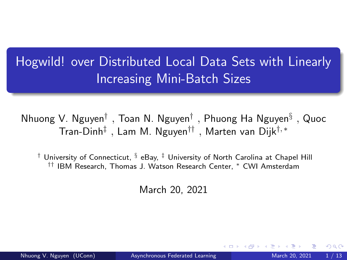## <span id="page-0-0"></span>Hogwild! over Distributed Local Data Sets with Linearly Increasing Mini-Batch Sizes

Nhuong V. Nguyen $^\dagger$  , Toan N. Nguyen $^\dagger$  , Phuong Ha Nguyen $^\S$  , Quoc  $\mathsf{Tran}\text{-}\mathsf{Dinh}^\ddagger\;$ , Lam M. Nguyen $^{\dagger\dagger}\;$ , Marten van Dijk $^{\dagger,\,*}$ 

 $\dagger$  University of Connecticut,  $\S$  eBay,  $\ddagger$  University of North Carolina at Chapel Hill †† IBM Research, Thomas J. Watson Research Center, <sup>∗</sup> CWI Amsterdam

March 20, 2021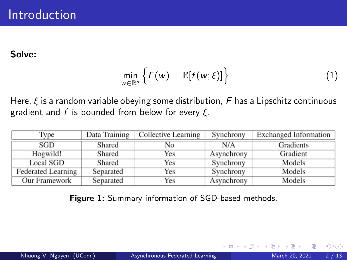#### Solve:

<span id="page-1-0"></span>
$$
\min_{w \in \mathbb{R}^d} \left\{ F(w) = \mathbb{E}[f(w; \xi)] \right\} \tag{1}
$$

4 0 8

Here,  $\xi$  is a random variable obeying some distribution, F has a Lipschitz continuous gradient and f is bounded from below for every  $\xi$ .

| Type                      | Data Training | Collective Learning | Synchrony  | <b>Exchanged Information</b> |
|---------------------------|---------------|---------------------|------------|------------------------------|
| SGD                       | Shared        | No                  | N/A        | Gradients                    |
| Hogwild!                  | Shared        | Yes                 | Asynchrony | Gradient                     |
| <b>Local SGD</b>          | Shared        | Yes                 | Synchrony  | Models                       |
| <b>Federated Learning</b> | Separated     | Yes                 | Synchrony  | Models                       |
| Our Framework             | Separated     | Yes                 | Asynchrony | Models                       |

Figure 1: Summary information of SGD-based methods.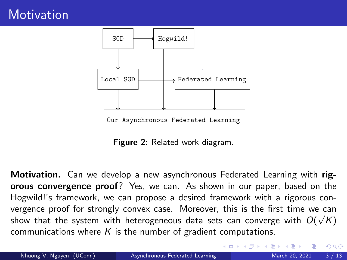### **Motivation**



Figure 2: Related work diagram.

Motivation. Can we develop a new asynchronous Federated Learning with rigorous convergence proof? Yes, we can. As shown in our paper, based on the Hogwild!'s framework, we can propose a desired framework with a rigorous convergence proof for strongly convex case. Moreover, this is the first time we can show that the system with heterogeneous data sets can converge with  $O(\sqrt{K})$ communications where  $K$  is the number of gradient computations.

 $QQ$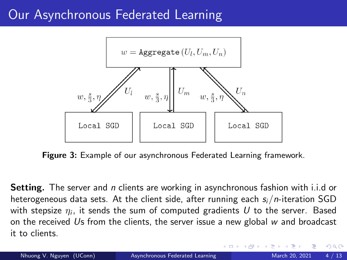### Our Asynchronous Federated Learning



Figure 3: Example of our asynchronous Federated Learning framework.

**Setting.** The server and *n* clients are working in asynchronous fashion with i.i.d or heterogeneous data sets. At the client side, after running each  $s_i/n$ -iteration SGD with stepsize  $\eta_i$ , it sends the sum of computed gradients  $U$  to the server. Based on the received Us from the clients, the server issue a new global  $w$  and broadcast it to clients.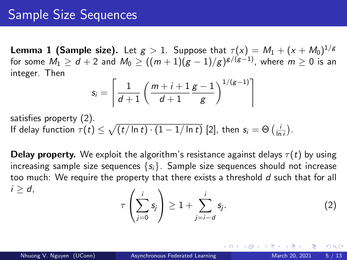**Lemma 1 (Sample size).** Let  $g > 1$ . Suppose that  $\tau(x) = M_1 + (x+M_0)^{1/g}$ for some  $M_1 \geq d+2$  and  $M_0 \geq ((m+1)(g-1)/g)^{g/(g-1)}$ , where  $m \geq 0$  is an integer. Then

$$
s_i = \left\lceil \frac{1}{d+1} \left( \frac{m+i+1}{d+1} \frac{g-1}{g} \right)^{1/(g-1)} \right\rceil
$$

satisfies property [\(2\)](#page-4-0). If delay function  $\tau(t) \leq \sqrt{(t/\ln t) \cdot (1 - 1/\ln t)}$  [2], then  $s_i = \Theta\left(\frac{i}{\ln i}\right)$ .

**Delay property.** We exploit the algorithm's resistance against delays  $\tau(t)$  by using increasing sample size sequences  $\{s_i\}$ . Sample size sequences should not increase too much: We require the property that there exists a threshold  $d$  such that for all  $i > d$ .  $\left( i \right)$ i i

$$
\tau\left(\sum_{j=0}^i s_j\right) \geq 1 + \sum_{j=i-d}^i s_j. \tag{2}
$$

<span id="page-4-0"></span> $QQQ$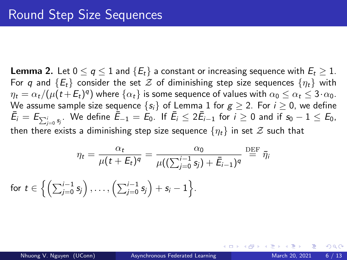**Lemma 2.** Let  $0 \leq q \leq 1$  and  $\{E_t\}$  a constant or increasing sequence with  $E_t \geq 1$ . For q and  $\{E_t\}$  consider the set  $\mathcal Z$  of diminishing step size sequences  $\{\eta_t\}$  with  $\eta_t=\alpha_t/(\mu(t+E_t)^q)$  where  $\{\alpha_t\}$  is some sequence of values with  $\alpha_0\leq\alpha_t\leq3\!\cdot\alpha_0.$ We assume sample size sequence  $\{s_i\}$  of Lemma 1 for  $g \geq 2$ . For  $i \geq 0$ , we define  $\bar{\mathcal{E}}_i = \mathcal{E}_{\sum_{j=0}^i s_j}.$  We define  $\bar{\mathcal{E}}_{-1} = \bar{\mathcal{E}}_{0}.$  If  $\bar{\mathcal{E}}_i \leq 2\bar{\mathcal{E}}_{i-1}$  for  $i \geq 0$  and if  $s_0-1 \leq \mathcal{E}_0,$ then there exists a diminishing step size sequence  $\{\eta_t\}$  in set  $\mathcal Z$  such that

$$
\eta_t = \frac{\alpha_t}{\mu(t+E_t)^q} = \frac{\alpha_0}{\mu((\sum_{j=0}^{i-1} s_j) + \bar{E}_{i-1})^q} \stackrel{\text{DEF}}{=} \bar{\eta}_t
$$

for 
$$
t \in \left\{ \left( \sum_{j=0}^{i-1} s_j \right), \ldots, \left( \sum_{j=0}^{i-1} s_j \right) + s_i - 1 \right\}.
$$

 $200$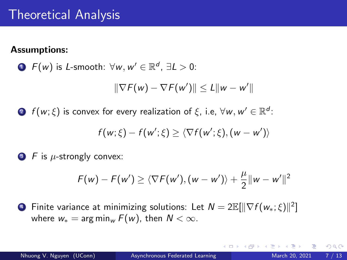### Theoretical Analysis

#### Assumptions:

• 
$$
F(w)
$$
 is *L*-smooth:  $\forall w, w' \in \mathbb{R}^d, \exists L > 0$ :

$$
\|\nabla F(w)-\nabla F(w')\|\leq L\|w-w'\|
$$

 $\bullet\ \ f({\sf w};\xi)$  is convex for every realization of  $\xi$ , i.e,  $\forall {\sf w},{\sf w}'\in\mathbb{R}^d$ :

$$
f(w;\xi)-f(w';\xi)\geq \langle \nabla f(w';\xi), (w-w')\rangle
$$

 $\bullet$  F is *u*-strongly convex:

$$
F(w) - F(w') \ge \langle \nabla F(w'), (w - w') \rangle + \frac{\mu}{2} ||w - w'||^2
$$

 $\bullet$  Finite variance at minimizing solutions: Let  $\mathcal{N}=2\mathbb{E}[\|\nabla f(w_*;\xi)\|^2]$ where  $w_* = \arg \min_w F(w)$ , then  $N < \infty$ .

 $200$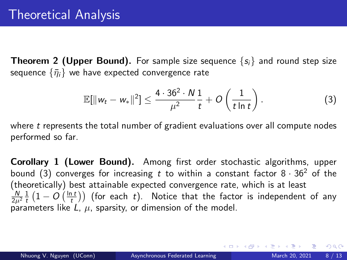**Theorem 2 (Upper Bound).** For sample size sequence  $\{s_i\}$  and round step size sequence  $\{\bar{\eta}_i\}$  we have expected convergence rate

$$
\mathbb{E}[\|w_t - w_*\|^2] \leq \frac{4 \cdot 36^2 \cdot N}{\mu^2} \frac{1}{t} + O\left(\frac{1}{t \ln t}\right). \tag{3}
$$

where  $t$  represents the total number of gradient evaluations over all compute nodes performed so far.

Corollary 1 (Lower Bound). Among first order stochastic algorithms, upper bound [\(3\)](#page-7-0) converges for increasing t to within a constant factor  $8 \cdot 36^2$  of the (theoretically) best attainable expected convergence rate, which is at least  $\frac{N}{2\mu^2}\frac{1}{t}\left(1-O\left(\frac{\ln t}{t}\right)\right)$  (for each  $t$ ). Notice that the factor is independent of any parameters like  $L$ ,  $\mu$ , sparsity, or dimension of the model.

 $\Omega$ 

<span id="page-7-0"></span>KONKAPIK KENYEN E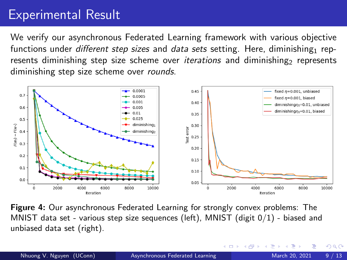### Experimental Result

We verify our asynchronous Federated Learning framework with various objective functions under *different step sizes* and *data sets* setting. Here, diminishing<sub>1</sub> represents diminishing step size scheme over *iterations* and diminishing<sub>2</sub> represents diminishing step size scheme over rounds.



Figure 4: Our asynchronous Federated Learning for strongly convex problems: The MNIST data set - various step size sequences (left), MNIST (digit  $0/1$ ) - biased and unbiased data set (right).

4 D F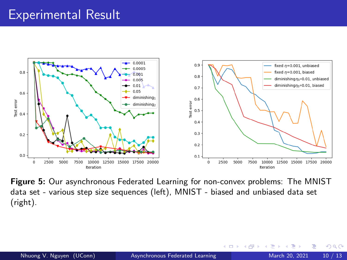### Experimental Result



Figure 5: Our asynchronous Federated Learning for non-convex problems: The MNIST data set - various step size sequences (left), MNIST - biased and unbiased data set (right).

4 D F

 $QQ$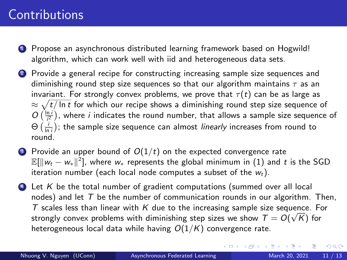### **Contributions**

- **1** Propose an asynchronous distributed learning framework based on Hogwild! algorithm, which can work well with iid and heterogeneous data sets.
- 2 Provide a general recipe for constructing increasing sample size sequences and diminishing round step size sequences so that our algorithm maintains  $\tau$  as an invariant. For strongly convex problems, we prove that  $\tau(t)$  can be as large as  $\approx \sqrt{t/\ln t}$  for which our recipe shows a diminishing round step size sequence of  $O\left(\frac{\ln i}{i^2}\right)$ , where *i* indicates the round number, that allows a sample size sequence of  $\Theta\left(\frac{i}{\ln i}\right)$ ; the sample size sequence can almost *linearly* increases from round to round.
- **3** Provide an upper bound of  $O(1/t)$  on the expected convergence rate  $\mathbb{E}[\lVert w_t - w_*\rVert^2],$  where  $w_*$  represents the global minimum in  $(1)$  and  $t$  is the SGD iteration number (each local node computes a subset of the  $w_t$ ).
- $\bullet$  Let K be the total number of gradient computations (summed over all local nodes) and let  $T$  be the number of communication rounds in our algorithm. Then, T scales less than linear with K due to the increasing sample size sequence. For strongly convex problems with diminishing step sizes we show  $\, T = O(\sqrt{K})$  for heterogeneous local data while having  $O(1/K)$  convergence rate.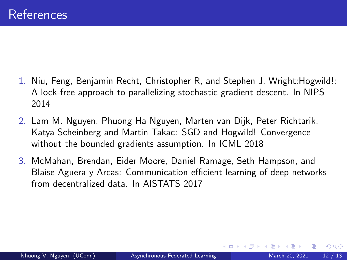- 1. Niu, Feng, Benjamin Recht, Christopher R, and Stephen J. Wright:Hogwild!: A lock-free approach to parallelizing stochastic gradient descent. In NIPS 2014
- 2. Lam M. Nguyen, Phuong Ha Nguyen, Marten van Dijk, Peter Richtarik, Katya Scheinberg and Martin Takac: SGD and Hogwild! Convergence without the bounded gradients assumption. In ICML 2018
- 3. McMahan, Brendan, Eider Moore, Daniel Ramage, Seth Hampson, and Blaise Aguera y Arcas: Communication-efficient learning of deep networks from decentralized data. In AISTATS 2017